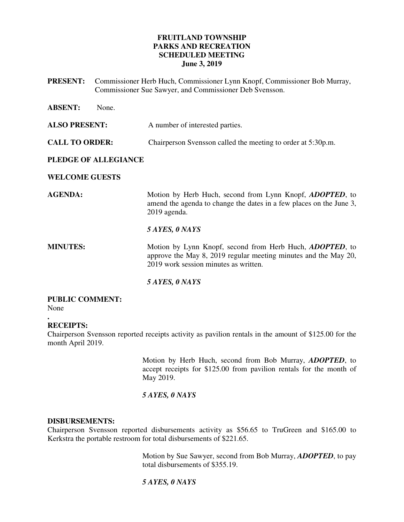# **FRUITLAND TOWNSHIP PARKS AND RECREATION SCHEDULED MEETING June 3, 2019**

**PRESENT:** Commissioner Herb Huch, Commissioner Lynn Knopf, Commissioner Bob Murray, Commissioner Sue Sawyer, and Commissioner Deb Svensson.

| <b>ABSENT:</b><br>None. |                                                                                                                                                                              |
|-------------------------|------------------------------------------------------------------------------------------------------------------------------------------------------------------------------|
| <b>ALSO PRESENT:</b>    | A number of interested parties.                                                                                                                                              |
| <b>CALL TO ORDER:</b>   | Chairperson Svensson called the meeting to order at 5:30p.m.                                                                                                                 |
| PLEDGE OF ALLEGIANCE    |                                                                                                                                                                              |
| <b>WELCOME GUESTS</b>   |                                                                                                                                                                              |
| <b>AGENDA:</b>          | Motion by Herb Huch, second from Lynn Knopf, <i>ADOPTED</i> , to<br>amend the agenda to change the dates in a few places on the June 3,<br>2019 agenda.                      |
|                         | 5 AYES, 0 NAYS                                                                                                                                                               |
| <b>MINUTES:</b>         | Motion by Lynn Knopf, second from Herb Huch, <i>ADOPTED</i> , to<br>approve the May 8, 2019 regular meeting minutes and the May 20,<br>2019 work session minutes as written. |
|                         | 5 AYES, 0 NAYS                                                                                                                                                               |

# **PUBLIC COMMENT:**

None

#### **. RECEIPTS:**

Chairperson Svensson reported receipts activity as pavilion rentals in the amount of \$125.00 for the month April 2019.

> Motion by Herb Huch, second from Bob Murray, *ADOPTED*, to accept receipts for \$125.00 from pavilion rentals for the month of May 2019.

# *5 AYES, 0 NAYS*

### **DISBURSEMENTS:**

Chairperson Svensson reported disbursements activity as \$56.65 to TruGreen and \$165.00 to Kerkstra the portable restroom for total disbursements of \$221.65.

> Motion by Sue Sawyer, second from Bob Murray, *ADOPTED*, to pay total disbursements of \$355.19.

# *5 AYES, 0 NAYS*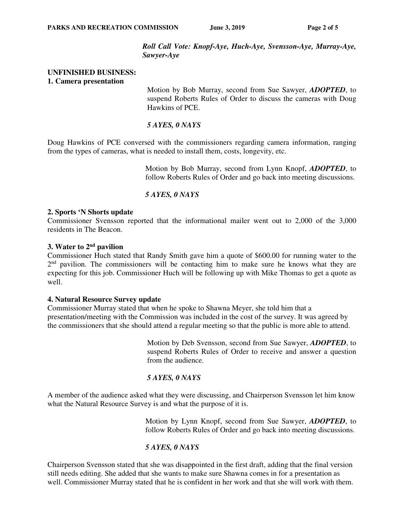*Roll Call Vote: Knopf-Aye, Huch-Aye, Svensson-Aye, Murray-Aye, Sawyer-Aye*

### **UNFINISHED BUSINESS: 1. Camera presentation**

 Motion by Bob Murray, second from Sue Sawyer, *ADOPTED*, to suspend Roberts Rules of Order to discuss the cameras with Doug Hawkins of PCE.

# *5 AYES, 0 NAYS*

Doug Hawkins of PCE conversed with the commissioners regarding camera information, ranging from the types of cameras, what is needed to install them, costs, longevity, etc.

> Motion by Bob Murray, second from Lynn Knopf, *ADOPTED*, to follow Roberts Rules of Order and go back into meeting discussions.

# *5 AYES, 0 NAYS*

## **2. Sports 'N Shorts update**

Commissioner Svensson reported that the informational mailer went out to 2,000 of the 3,000 residents in The Beacon.

# **3. Water to 2nd pavilion**

Commissioner Huch stated that Randy Smith gave him a quote of \$600.00 for running water to the  $2<sup>nd</sup>$  pavilion. The commissioners will be contacting him to make sure he knows what they are expecting for this job. Commissioner Huch will be following up with Mike Thomas to get a quote as well.

### **4. Natural Resource Survey update**

Commissioner Murray stated that when he spoke to Shawna Meyer, she told him that a presentation/meeting with the Commission was included in the cost of the survey. It was agreed by the commissioners that she should attend a regular meeting so that the public is more able to attend.

> Motion by Deb Svensson, second from Sue Sawyer, *ADOPTED*, to suspend Roberts Rules of Order to receive and answer a question from the audience.

# *5 AYES, 0 NAYS*

A member of the audience asked what they were discussing, and Chairperson Svensson let him know what the Natural Resource Survey is and what the purpose of it is.

> Motion by Lynn Knopf, second from Sue Sawyer, *ADOPTED*, to follow Roberts Rules of Order and go back into meeting discussions.

# *5 AYES, 0 NAYS*

Chairperson Svensson stated that she was disappointed in the first draft, adding that the final version still needs editing. She added that she wants to make sure Shawna comes in for a presentation as well. Commissioner Murray stated that he is confident in her work and that she will work with them.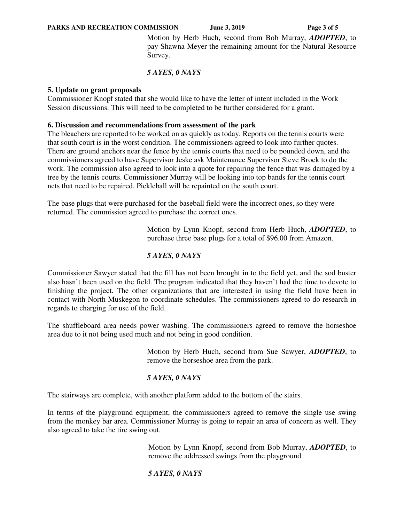Motion by Herb Huch, second from Bob Murray, *ADOPTED*, to pay Shawna Meyer the remaining amount for the Natural Resource Survey.

# *5 AYES, 0 NAYS*

### **5. Update on grant proposals**

Commissioner Knopf stated that she would like to have the letter of intent included in the Work Session discussions. This will need to be completed to be further considered for a grant.

### **6. Discussion and recommendations from assessment of the park**

The bleachers are reported to be worked on as quickly as today. Reports on the tennis courts were that south court is in the worst condition. The commissioners agreed to look into further quotes. There are ground anchors near the fence by the tennis courts that need to be pounded down, and the commissioners agreed to have Supervisor Jeske ask Maintenance Supervisor Steve Brock to do the work. The commission also agreed to look into a quote for repairing the fence that was damaged by a tree by the tennis courts. Commissioner Murray will be looking into top bands for the tennis court nets that need to be repaired. Pickleball will be repainted on the south court.

The base plugs that were purchased for the baseball field were the incorrect ones, so they were returned. The commission agreed to purchase the correct ones.

> Motion by Lynn Knopf, second from Herb Huch, *ADOPTED*, to purchase three base plugs for a total of \$96.00 from Amazon.

# *5 AYES, 0 NAYS*

Commissioner Sawyer stated that the fill has not been brought in to the field yet, and the sod buster also hasn't been used on the field. The program indicated that they haven't had the time to devote to finishing the project. The other organizations that are interested in using the field have been in contact with North Muskegon to coordinate schedules. The commissioners agreed to do research in regards to charging for use of the field.

The shuffleboard area needs power washing. The commissioners agreed to remove the horseshoe area due to it not being used much and not being in good condition.

> Motion by Herb Huch, second from Sue Sawyer, *ADOPTED*, to remove the horseshoe area from the park.

# *5 AYES, 0 NAYS*

The stairways are complete, with another platform added to the bottom of the stairs.

In terms of the playground equipment, the commissioners agreed to remove the single use swing from the monkey bar area. Commissioner Murray is going to repair an area of concern as well. They also agreed to take the tire swing out.

> Motion by Lynn Knopf, second from Bob Murray, *ADOPTED*, to remove the addressed swings from the playground.

# *5 AYES, 0 NAYS*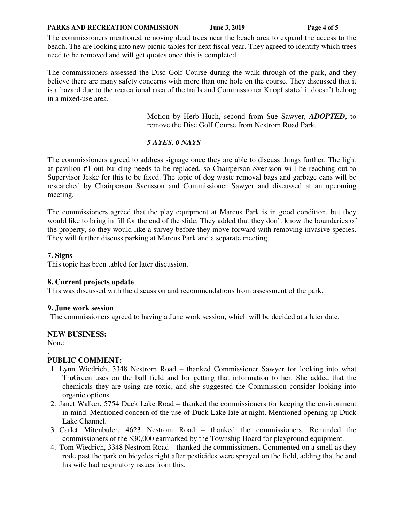#### PARKS AND RECREATION COMMISSION June 3, 2019 **Page 4 of 5**

The commissioners mentioned removing dead trees near the beach area to expand the access to the beach. The are looking into new picnic tables for next fiscal year. They agreed to identify which trees need to be removed and will get quotes once this is completed.

The commissioners assessed the Disc Golf Course during the walk through of the park, and they believe there are many safety concerns with more than one hole on the course. They discussed that it is a hazard due to the recreational area of the trails and Commissioner Knopf stated it doesn't belong in a mixed-use area.

> Motion by Herb Huch, second from Sue Sawyer, *ADOPTED*, to remove the Disc Golf Course from Nestrom Road Park.

# *5 AYES, 0 NAYS*

The commissioners agreed to address signage once they are able to discuss things further. The light at pavilion #1 out building needs to be replaced, so Chairperson Svensson will be reaching out to Supervisor Jeske for this to be fixed. The topic of dog waste removal bags and garbage cans will be researched by Chairperson Svensson and Commissioner Sawyer and discussed at an upcoming meeting.

The commissioners agreed that the play equipment at Marcus Park is in good condition, but they would like to bring in fill for the end of the slide. They added that they don't know the boundaries of the property, so they would like a survey before they move forward with removing invasive species. They will further discuss parking at Marcus Park and a separate meeting.

# **7. Signs**

This topic has been tabled for later discussion.

# **8. Current projects update**

This was discussed with the discussion and recommendations from assessment of the park.

### **9. June work session**

The commissioners agreed to having a June work session, which will be decided at a later date.

# **NEW BUSINESS:**

None

#### . **PUBLIC COMMENT:**

- 1. Lynn Wiedrich, 3348 Nestrom Road thanked Commissioner Sawyer for looking into what TruGreen uses on the ball field and for getting that information to her. She added that the chemicals they are using are toxic, and she suggested the Commission consider looking into organic options.
- 2. Janet Walker, 5754 Duck Lake Road thanked the commissioners for keeping the environment in mind. Mentioned concern of the use of Duck Lake late at night. Mentioned opening up Duck Lake Channel.
- 3. Carlet Mitenbuler, 4623 Nestrom Road thanked the commissioners. Reminded the commissioners of the \$30,000 earmarked by the Township Board for playground equipment.
- 4. Tom Wiedrich, 3348 Nestrom Road thanked the commissioners. Commented on a smell as they rode past the park on bicycles right after pesticides were sprayed on the field, adding that he and his wife had respiratory issues from this.